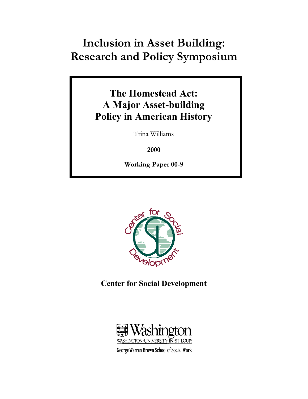# **Inclusion in Asset Building: Research and Policy Symposium**

## **The Homestead Act: A Major Asset-building Policy in American History**

Trina Williams

**2000** 

**Working Paper 00-9** 



**Center for Social Development** 



George Warren Brown School of Social Work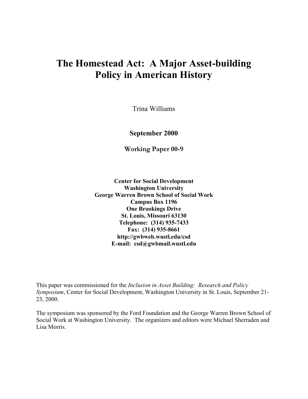## **The Homestead Act: A Major Asset-building Policy in American History**

Trina Williams

**September 2000** 

**Working Paper 00-9** 

**Center for Social Development Washington University George Warren Brown School of Social Work Campus Box 1196 One Brookings Drive St. Louis, Missouri 63130 Telephone: (314) 935-7433 Fax: (314) 935-8661 http://gwbweb.wustl.edu/csd E-mail: csd@gwbmail.wustl.edu** 

This paper was commissioned for the *Inclusion in Asset Building: Research and Policy Symposium*, Center for Social Development, Washington University in St. Louis, September 21- 23, 2000.

The symposium was sponsored by the Ford Foundation and the George Warren Brown School of Social Work at Washington University. The organizers and editors were Michael Sherraden and Lisa Morris.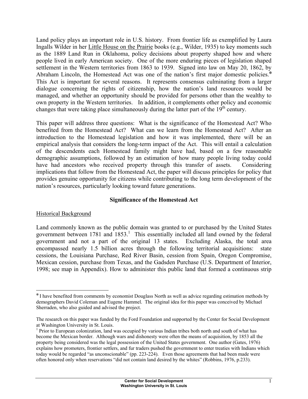Land policy plays an important role in U.S. history. From frontier life as exemplified by Laura Ingalls Wilder in her Little House on the Prairie books (e.g., Wilder, 1935) to key moments such as the 1889 Land Run in Oklahoma, policy decisions about property shaped how and where people lived in early American society. One of the more enduring pieces of legislation shaped settlement in the Western territories from 1863 to 1939. Signed into law on May 20, 1862, by Abraham Lincoln, the Homestead Act was one of the nation's first major domestic policies.<sup>\*</sup> This Act is important for several reasons. It represents consensus culminating from a larger dialogue concerning the rights of citizenship, how the nation's land resources would be managed, and whether an opportunity should be provided for persons other than the wealthy to own property in the Western territories. In addition, it complements other policy and economic changes that were taking place simultaneously during the latter part of the  $19<sup>th</sup>$  century.

This paper will address three questions: What is the significance of the Homestead Act? Who benefited from the Homestead Act? What can we learn from the Homestead Act? After an introduction to the Homestead legislation and how it was implemented, there will be an empirical analysis that considers the long-term impact of the Act. This will entail a calculation of the descendents each Homestead family might have had, based on a few reasonable demographic assumptions, followed by an estimation of how many people living today could have had ancestors who received property through this transfer of assets. Considering implications that follow from the Homestead Act, the paper will discuss principles for policy that provides genuine opportunity for citizens while contributing to the long term development of the nation's resources, particularly looking toward future generations.

#### **Significance of the Homestead Act**

#### Historical Background

1

Land commonly known as the public domain was granted to or purchased by the United States government between 1781 and 1853.<sup>1</sup> This essentially included all land owned by the federal government and not a part of the original 13 states. Excluding Alaska, the total area encompassed nearly 1.5 billion acres through the following territorial acquisitions: state cessions, the Louisiana Purchase, Red River Basin, cession from Spain, Oregon Compromise, Mexican cession, purchase from Texas, and the Gadsden Purchase (U.S. Department of Interior, 1998; see map in Appendix). How to administer this public land that formed a continuous strip

<sup>✼</sup> I have benefited from comments by economist Douglass North as well as advice regarding estimation methods by demographers David Coleman and Eugene Hammel. The original idea for this paper was conceived by Michael Sherraden, who also guided and advised the project.

The research on this paper was funded by the Ford Foundation and supported by the Center for Social Development at Washington University in St. Louis.

<sup>&</sup>lt;sup>1</sup> Prior to European colonization, land was occupied by various Indian tribes both north and south of what has become the Mexican border. Although wars and dishonesty were often the means of acquisition, by 1853 all the property being considered was the legal possession of the United States government. One author (Gates, 1976) explains how promoters, frontier settlers, and fur traders pushed the government to enter treaties with Indians which today would be regarded "as unconscionable" (pp. 223-224). Even those agreements that had been made were often honored only when reservations "did not contain land desired by the whites" (Robbins, 1976, p.233).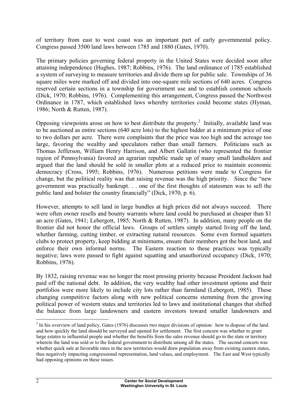of territory from east to west coast was an important part of early governmental policy. Congress passed 3500 land laws between 1785 and 1880 (Gates, 1970).

The primary policies governing federal property in the United States were decided soon after attaining independence (Hughes, 1987; Robbins, 1976). The land ordinance of 1785 established a system of surveying to measure territories and divide them up for public sale. Townships of 36 square miles were marked off and divided into one-square mile sections of 640 acres. Congress reserved certain sections in a township for government use and to establish common schools (Dick, 1970; Robbins, 1976). Complementing this arrangement, Congress passed the Northwest Ordinance in 1787, which established laws whereby territories could become states (Hyman, 1986; North & Rutten, 1987).

Opposing viewpoints arose on how to best distribute the property.<sup>2</sup> Initially, available land was to be auctioned as entire sections (640 acre lots) to the highest bidder at a minimum price of one to two dollars per acre. There were complaints that the price was too high and the acreage too large, favoring the wealthy and speculators rather than small farmers. Politicians such as Thomas Jefferson, William Henry Harrison, and Albert Gallatin (who represented the frontier region of Pennsylvania) favored an agrarian republic made up of many small landholders and argued that the land should be sold in smaller plots at a reduced price to maintain economic democracy (Cross, 1995; Robbins, 1976). Numerous petitions were made to Congress for change, but the political reality was that raising revenue was the high priority. Since the "new government was practically bankrupt. . . one of the first thoughts of statesmen was to sell the public land and bolster the country financially" (Dick, 1970, p. 6).

However, attempts to sell land in large bundles at high prices did not always succeed. There were often owner resells and bounty warrants where land could be purchased at cheaper than \$1 an acre (Gates, 1941; Lebergott, 1985; North & Rutten, 1987). In addition, many people on the frontier did not honor the official laws. Groups of settlers simply started living off the land, whether farming, cutting timber, or extracting natural resources. Some even formed squatters clubs to protect property, keep bidding at minimums, ensure their members got the best land, and enforce their own informal norms. The Eastern reaction to these practices was typically negative; laws were passed to fight against squatting and unauthorized occupancy (Dick, 1970; Robbins, 1976).

By 1832, raising revenue was no longer the most pressing priority because President Jackson had paid off the national debt. In addition, the very wealthy had other investment options and their portfolios were more likely to include city lots rather than farmland (Lebergott, 1985). These changing competitive factors along with new political concerns stemming from the growing political power of western states and territories led to laws and institutional changes that shifted the balance from large landowners and eastern investors toward smaller landowners and

 $2 \text{ In his overview of land policy, Gates (1976) discusses two major divisions of opinion: how to dispose of the land$ and how quickly the land should be surveyed and opened for settlement. The first concern was whether to grant large estates to influential people and whether the benefits from the sales revenue should go to the state or territory wherein the land was sold or to the federal government to distribute among all the states. The second concern was whether quick sale at favorable rates in the new territories would draw population away from existing eastern states, thus negatively impacting congressional representation, land values, and employment. The East and West typically had opposing opinions on these issues.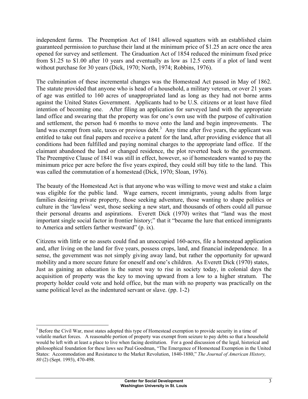independent farms. The Preemption Act of 1841 allowed squatters with an established claim guaranteed permission to purchase their land at the minimum price of \$1.25 an acre once the area opened for survey and settlement. The Graduation Act of 1854 reduced the minimum fixed price from \$1.25 to \$1.00 after 10 years and eventually as low as 12.5 cents if a plot of land went without purchase for 30 years (Dick, 1970; North, 1974; Robbins, 1976).

The culmination of these incremental changes was the Homestead Act passed in May of 1862. The statute provided that anyone who is head of a household, a military veteran, or over 21 years of age was entitled to 160 acres of unappropriated land as long as they had not borne arms against the United States Government. Applicants had to be U.S. citizens or at least have filed intention of becoming one. After filing an application for surveyed land with the appropriate land office and swearing that the property was for one's own use with the purpose of cultivation and settlement, the person had 6 months to move onto the land and begin improvements. The land was exempt from sale, taxes or previous debt.<sup>3</sup> Any time after five years, the applicant was entitled to take out final papers and receive a patent for the land, after providing evidence that all conditions had been fulfilled and paying nominal charges to the appropriate land office. If the claimant abandoned the land or changed residence, the plot reverted back to the government. The Preemptive Clause of 1841 was still in effect, however, so if homesteaders wanted to pay the minimum price per acre before the five years expired, they could still buy title to the land. This was called the commutation of a homestead (Dick, 1970; Sloan, 1976).

The beauty of the Homestead Act is that anyone who was willing to move west and stake a claim was eligible for the public land. Wage earners, recent immigrants, young adults from large families desiring private property, those seeking adventure, those wanting to shape politics or culture in the 'lawless' west, those seeking a new start, and thousands of others could all pursue their personal dreams and aspirations. Everett Dick (1970) writes that "land was the most important single social factor in frontier history;" that it "became the lure that enticed immigrants to America and settlers farther westward" (p. ix).

Citizens with little or no assets could find an unoccupied 160-acres, file a homestead application and, after living on the land for five years, possess crops, land, and financial independence. In a sense, the government was not simply giving away land, but rather the opportunity for upward mobility and a more secure future for oneself and one's children. As Everett Dick (1970) states, Just as gaining an education is the surest way to rise in society today, in colonial days the acquisition of property was the key to moving upward from a low to a higher stratum. The property holder could vote and hold office, but the man with no property was practically on the same political level as the indentured servant or slave. (pp. 1-2)

<sup>&</sup>lt;sup>3</sup> Before the Civil War, most states adopted this type of Homestead exemption to provide security in a time of volatile market forces. A reasonable portion of property was exempt from seizure to pay debts so that a household would be left with at least a place to live when facing destitution. For a good discussion of the legal, historical and philosophical foundation for these laws see Paul Goodman, "The Emergence of Homestead Exemption in the United States: Accommodation and Resistance to the Market Revolution, 1840-1880," *The Journal of American History, 80* (2) (Sept. 1993), 470-498.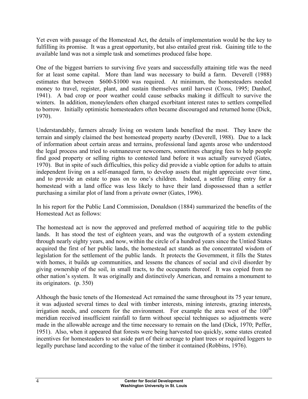Yet even with passage of the Homestead Act, the details of implementation would be the key to fulfilling its promise. It was a great opportunity, but also entailed great risk. Gaining title to the available land was not a simple task and sometimes produced false hope.

One of the biggest barriers to surviving five years and successfully attaining title was the need for at least some capital. More than land was necessary to build a farm. Deverell (1988) estimates that between \$600-\$1000 was required. At minimum, the homesteaders needed money to travel, register, plant, and sustain themselves until harvest (Cross, 1995; Danhof, 1941). A bad crop or poor weather could cause setbacks making it difficult to survive the winters. In addition, moneylenders often charged exorbitant interest rates to settlers compelled to borrow. Initially optimistic homesteaders often became discouraged and returned home (Dick, 1970).

Understandably, farmers already living on western lands benefited the most. They knew the terrain and simply claimed the best homestead property nearby (Deverell, 1988). Due to a lack of information about certain areas and terrains, professional land agents arose who understood the legal process and tried to outmaneuver newcomers, sometimes charging fees to help people find good property or selling rights to contested land before it was actually surveyed (Gates, 1970). But in spite of such difficulties, this policy did provide a viable option for adults to attain independent living on a self-managed farm, to develop assets that might appreciate over time, and to provide an estate to pass on to one's children. Indeed, a settler filing entry for a homestead with a land office was less likely to have their land dispossessed than a settler purchasing a similar plot of land from a private owner (Gates, 1996).

In his report for the Public Land Commission, Donaldson (1884) summarized the benefits of the Homestead Act as follows:

The homestead act is now the approved and preferred method of acquiring title to the public lands. It has stood the test of eighteen years, and was the outgrowth of a system extending through nearly eighty years, and now, within the circle of a hundred years since the Untied States acquired the first of her public lands, the homestead act stands as the concentrated wisdom of legislation for the settlement of the public lands. It protects the Government, it fills the States with homes, it builds up communities, and lessens the chances of social and civil disorder by giving ownership of the soil, in small tracts, to the occupants thereof. It was copied from no other nation's system. It was originally and distinctively American, and remains a monument to its originators. (p. 350)

Although the basic tenets of the Homestead Act remained the same throughout its 75 year tenure, it was adjusted several times to deal with timber interests, mining interests, grazing interests, irrigation needs, and concern for the environment. For example the area west of the  $100<sup>th</sup>$ meridian received insufficient rainfall to farm without special techniques so adjustments were made in the allowable acreage and the time necessary to remain on the land (Dick, 1970; Peffer, 1951). Also, when it appeared that forests were being harvested too quickly, some states created incentives for homesteaders to set aside part of their acreage to plant trees or required loggers to legally purchase land according to the value of the timber it contained (Robbins, 1976).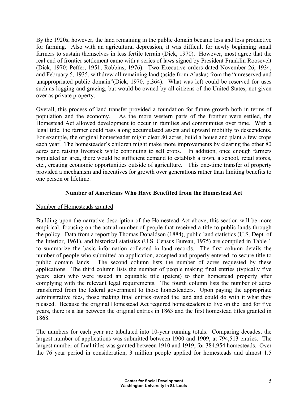By the 1920s, however, the land remaining in the public domain became less and less productive for farming. Also with an agricultural depression, it was difficult for newly beginning small farmers to sustain themselves in less fertile terrain (Dick, 1970). However, most agree that the real end of frontier settlement came with a series of laws signed by President Franklin Roosevelt (Dick, 1970; Peffer, 1951; Robbins, 1976). Two Executive orders dated November 26, 1934, and February 5, 1935, withdrew all remaining land (aside from Alaska) from the "unreserved and unappropriated public domain"(Dick, 1970, p.364). What was left could be reserved for uses such as logging and grazing, but would be owned by all citizens of the United States, not given over as private property.

Overall, this process of land transfer provided a foundation for future growth both in terms of population and the economy. As the more western parts of the frontier were settled, the Homestead Act allowed development to occur in families and communities over time. With a legal title, the farmer could pass along accumulated assets and upward mobility to descendents. For example, the original homesteader might clear 80 acres, build a house and plant a few crops each year. The homesteader's children might make more improvements by clearing the other 80 acres and raising livestock while continuing to sell crops. In addition, once enough farmers populated an area, there would be sufficient demand to establish a town, a school, retail stores, etc., creating economic opportunities outside of agriculture. This one-time transfer of property provided a mechanism and incentives for growth over generations rather than limiting benefits to one person or lifetime.

## **Number of Americans Who Have Benefited from the Homestead Act**

## Number of Homesteads granted

Building upon the narrative description of the Homestead Act above, this section will be more empirical, focusing on the actual number of people that received a title to public lands through the policy. Data from a report by Thomas Donaldson (1884), public land statistics (U.S. Dept. of the Interior, 1961), and historical statistics (U.S. Census Bureau, 1975) are compiled in Table 1 to summarize the basic information collected in land records. The first column details the number of people who submitted an application, accepted and properly entered, to secure title to public domain lands. The second column lists the number of acres requested by these applications. The third column lists the number of people making final entries (typically five years later) who were issued an equitable title (patent) to their homestead property after complying with the relevant legal requirements. The fourth column lists the number of acres transferred from the federal government to those homesteaders. Upon paying the appropriate administrative fees, those making final entries owned the land and could do with it what they pleased. Because the original Homestead Act required homesteaders to live on the land for five years, there is a lag between the original entries in 1863 and the first homestead titles granted in 1868.

The numbers for each year are tabulated into 10-year running totals. Comparing decades, the largest number of applications was submitted between 1900 and 1909, at 794,513 entries. The largest number of final titles was granted between 1910 and 1919, for 384,954 homesteads. Over the 76 year period in consideration, 3 million people applied for homesteads and almost 1.5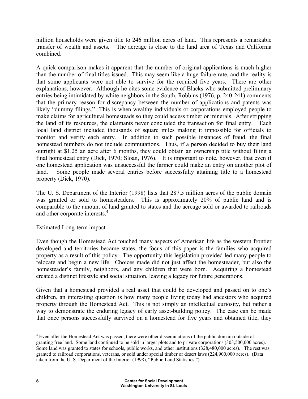million households were given title to 246 million acres of land. This represents a remarkable transfer of wealth and assets. The acreage is close to the land area of Texas and California combined.

A quick comparison makes it apparent that the number of original applications is much higher than the number of final titles issued. This may seem like a huge failure rate, and the reality is that some applicants were not able to survive for the required five years. There are other explanations, however. Although he cites some evidence of Blacks who submitted preliminary entries being intimidated by white neighbors in the South, Robbins (1976, p. 240-241) comments that the primary reason for discrepancy between the number of applications and patents was likely "dummy filings." This is when wealthy individuals or corporations employed people to make claims for agricultural homesteads so they could access timber or minerals. After stripping the land of its resources, the claimants never concluded the transaction for final entry. Each local land district included thousands of square miles making it impossible for officials to monitor and verify each entry. In addition to such possible instances of fraud, the final homestead numbers do not include commutations. Thus, if a person decided to buy their land outright at \$1.25 an acre after 6 months, they could obtain an ownership title without filing a final homestead entry (Dick, 1970; Sloan, 1976). It is important to note, however, that even if one homestead application was unsuccessful the farmer could make an entry on another plot of land. Some people made several entries before successfully attaining title to a homestead property (Dick, 1970).

The U. S. Department of the Interior (1998) lists that 287.5 million acres of the public domain was granted or sold to homesteaders. This is approximately 20% of public land and is comparable to the amount of land granted to states and the acreage sold or awarded to railroads and other corporate interests.<sup>4</sup>

### Estimated Long-term impact

Even though the Homestead Act touched many aspects of American life as the western frontier developed and territories became states, the focus of this paper is the families who acquired property as a result of this policy. The opportunity this legislation provided led many people to relocate and begin a new life. Choices made did not just affect the homesteader, but also the homesteader's family, neighbors, and any children that were born. Acquiring a homestead created a distinct lifestyle and social situation, leaving a legacy for future generations.

Given that a homestead provided a real asset that could be developed and passed on to one's children, an interesting question is how many people living today had ancestors who acquired property through the Homestead Act. This is not simply an intellectual curiosity, but rather a way to demonstrate the enduring legacy of early asset-building policy. The case can be made that once persons successfully survived on a homestead for five years and obtained title, they

<sup>&</sup>lt;sup>4</sup> Even after the Homestead Act was passed, there were other disseminations of the public domain outside of granting free land. Some land continued to be sold in larger plots and to private corporations (303,500,000 acres). Some land was granted to states for schools, public works, and other institutions (328,480,000 acres). The rest was granted to railroad corporations, veterans, or sold under special timber or desert laws (224,900,000 acres). (Data taken from the U. S. Department of the Interior (1998), "Public Land Statistics.")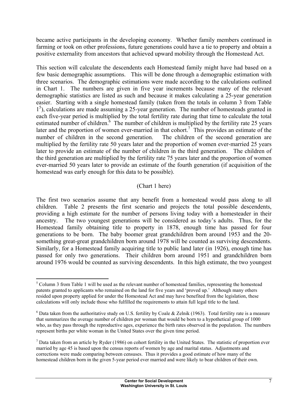became active participants in the developing economy. Whether family members continued in farming or took on other professions, future generations could have a tie to property and obtain a positive externality from ancestors that achieved upward mobility through the Homestead Act.

This section will calculate the descendents each Homestead family might have had based on a few basic demographic assumptions. This will be done through a demographic estimation with three scenarios. The demographic estimations were made according to the calculations outlined in Chart 1. The numbers are given in five year increments because many of the relevant demographic statistics are listed as such and because it makes calculating a 25-year generation easier. Starting with a single homestead family (taken from the totals in column 3 from Table 1<sup>5</sup>), calculations are made assuming a 25-year generation. The number of homesteads granted in each five-year period is multiplied by the total fertility rate during that time to calculate the total estimated number of children. $\frac{6}{6}$  The number of children is multiplied by the fertility rate 25 years later and the proportion of women ever-married in that cohort.<sup>7</sup> This provides an estimate of the number of children in the second generation. The children of the second generation are multiplied by the fertility rate 50 years later and the proportion of women ever-married 25 years later to provide an estimate of the number of children in the third generation. The children of the third generation are multiplied by the fertility rate 75 years later and the proportion of women ever-married 50 years later to provide an estimate of the fourth generation (if acquisition of the homestead was early enough for this data to be possible).

## (Chart 1 here)

The first two scenarios assume that any benefit from a homestead would pass along to all children. Table 2 presents the first scenario and projects the total possible descendents, providing a high estimate for the number of persons living today with a homesteader in their ancestry. The two youngest generations will be considered as today's adults. Thus, for the Homestead family obtaining title to property in 1878, enough time has passed for four generations to be born. The baby boomer great grandchildren born around 1953 and the 20 something great-great grandchildren born around 1978 will be counted as surviving descendents. Similarly, for a Homestead family acquiring title to public land later (in 1926), enough time has passed for only two generations. Their children born around 1951 and grandchildren born around 1976 would be counted as surviving descendents. In this high estimate, the two youngest

<sup>1</sup> <sup>5</sup> Column 3 from Table 1 will be used as the relevant number of homestead families, representing the homestead patents granted to applicants who remained on the land for five years and 'proved up.' Although many others resided upon property applied for under the Homestead Act and may have benefited from the legislation, these calculations will only include those who fulfilled the requirements to attain full legal title to the land.

 $6$  Data taken from the authoritative study on U.S. fertility by Coale & Zelnik (1963). Total fertility rate is a measure that summarizes the average number of children per woman that would be born to a hypothetical group of 1000 who, as they pass through the reproductive ages, experience the birth rates observed in the population. The numbers represent births per white woman in the United States over the given time period.

 $<sup>7</sup>$  Data taken from an article by Ryder (1986) on cohort fertility in the United States. The statistic of proportion ever</sup> married by age 45 is based upon the census reports of women by age and marital status. Adjustments and corrections were made comparing between censuses. Thus it provides a good estimate of how many of the homestead children born in the given 5-year period ever married and were likely to bear children of their own.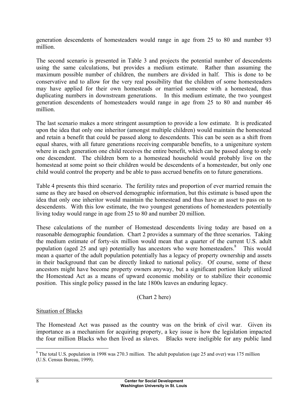generation descendents of homesteaders would range in age from 25 to 80 and number 93 million.

The second scenario is presented in Table 3 and projects the potential number of descendents using the same calculations, but provides a medium estimate. Rather than assuming the maximum possible number of children, the numbers are divided in half. This is done to be conservative and to allow for the very real possibility that the children of some homesteaders may have applied for their own homesteads or married someone with a homestead, thus duplicating numbers in downstream generations. In this medium estimate, the two youngest generation descendents of homesteaders would range in age from 25 to 80 and number 46 million.

The last scenario makes a more stringent assumption to provide a low estimate. It is predicated upon the idea that only one inheritor (amongst multiple children) would maintain the homestead and retain a benefit that could be passed along to descendents. This can be seen as a shift from equal shares, with all future generations receiving comparable benefits, to a unigeniture system where in each generation one child receives the entire benefit, which can be passed along to only one descendent. The children born to a homestead household would probably live on the homestead at some point so their children would be descendents of a homesteader, but only one child would control the property and be able to pass accrued benefits on to future generations.

Table 4 presents this third scenario. The fertility rates and proportion of ever married remain the same as they are based on observed demographic information, but this estimate is based upon the idea that only one inheritor would maintain the homestead and thus have an asset to pass on to descendents. With this low estimate, the two youngest generations of homesteaders potentially living today would range in age from 25 to 80 and number 20 million.

These calculations of the number of Homestead descendents living today are based on a reasonable demographic foundation. Chart 2 provides a summary of the three scenarios. Taking the medium estimate of forty-six million would mean that a quarter of the current U.S. adult population (aged 25 and up) potentially has ancestors who were homesteaders.<sup>8</sup> This would mean a quarter of the adult population potentially has a legacy of property ownership and assets in their background that can be directly linked to national policy. Of course, some of these ancestors might have become property owners anyway, but a significant portion likely utilized the Homestead Act as a means of upward economic mobility or to stabilize their economic position. This single policy passed in the late 1800s leaves an enduring legacy.

### (Chart 2 here)

### Situation of Blacks

The Homestead Act was passed as the country was on the brink of civil war. Given its importance as a mechanism for acquiring property, a key issue is how the legislation impacted the four million Blacks who then lived as slaves. Blacks were ineligible for any public land

<sup>&</sup>lt;sup>8</sup> The total U.S. population in 1998 was 270.3 million. The adult population (age 25 and over) was 175 million (U.S. Census Bureau, 1999).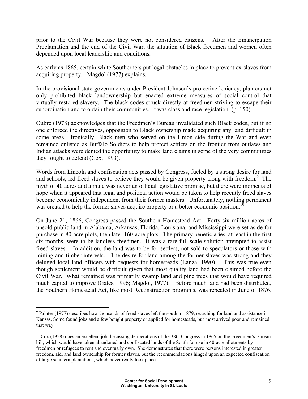prior to the Civil War because they were not considered citizens. After the Emancipation Proclamation and the end of the Civil War, the situation of Black freedmen and women often depended upon local leadership and conditions.

As early as 1865, certain white Southerners put legal obstacles in place to prevent ex-slaves from acquiring property. Magdol (1977) explains,

In the provisional state governments under President Johnson's protective leniency, planters not only prohibited black landownership but enacted extreme measures of social control that virtually restored slavery. The black codes struck directly at freedmen striving to escape their subordination and to obtain their communities. It was class and race legislation. (p. 150)

Oubre (1978) acknowledges that the Freedmen's Bureau invalidated such Black codes, but if no one enforced the directives, opposition to Black ownership made acquiring any land difficult in some areas. Ironically, Black men who served on the Union side during the War and even remained enlisted as Buffalo Soldiers to help protect settlers on the frontier from outlaws and Indian attacks were denied the opportunity to make land claims in some of the very communities they fought to defend (Cox, 1993).

Words from Lincoln and confiscation acts passed by Congress, fueled by a strong desire for land and schools, led freed slaves to believe they would be given property along with freedom.<sup>9</sup> The myth of 40 acres and a mule was never an official legislative promise, but there were moments of hope when it appeared that legal and political action would be taken to help recently freed slaves become economically independent from their former masters. Unfortunately, nothing permanent was created to help the former slaves acquire property or a better economic position.<sup>10</sup>

On June 21, 1866, Congress passed the Southern Homestead Act. Forty-six million acres of unsold public land in Alabama, Arkansas, Florida, Louisiana, and Mississippi were set aside for purchase in 80-acre plots, then later 160-acre plots. The primary beneficiaries, at least in the first six months, were to be landless freedmen. It was a rare full-scale solution attempted to assist freed slaves. In addition, the land was to be for settlers, not sold to speculators or those with mining and timber interests. The desire for land among the former slaves was strong and they deluged local land officers with requests for homesteads (Lanza, 1990). This was true even though settlement would be difficult given that most quality land had been claimed before the Civil War. What remained was primarily swamp land and pine trees that would have required much capital to improve (Gates, 1996; Magdol, 1977). Before much land had been distributed, the Southern Homestead Act, like most Reconstruction programs, was repealed in June of 1876.

 $9$  Painter (1977) describes how thousands of freed slaves left the south in 1879, searching for land and assistance in Kansas. Some found jobs and a few bought property or applied for homesteads, but most arrived poor and remained that way.

 $10 \text{ Cox}$  (1958) does an excellent job discussing deliberations of the 38th Congress in 1865 on the Freedmen's Bureau bill, which would have taken abandoned and confiscated lands of the South for use in 40-acre allotments by freedmen or refugees to rent and eventually own. She demonstrates that there were persons interested in greater freedom, aid, and land ownership for former slaves, but the recommendations hinged upon an expected confiscation of large southern plantations, which never really took place.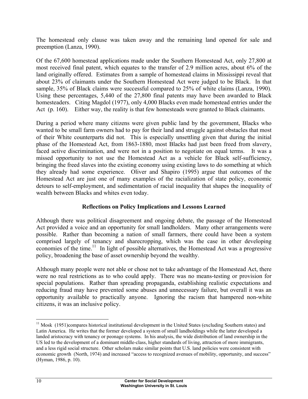The homestead only clause was taken away and the remaining land opened for sale and preemption (Lanza, 1990).

Of the 67,600 homestead applications made under the Southern Homestead Act, only 27,800 at most received final patent, which equates to the transfer of 2.9 million acres, about 6% of the land originally offered. Estimates from a sample of homestead claims in Mississippi reveal that about 23% of claimants under the Southern Homestead Act were judged to be Black. In that sample, 35% of Black claims were successful compared to 25% of white claims (Lanza, 1990). Using these percentages, 5,440 of the 27,800 final patents may have been awarded to Black homesteaders. Citing Magdol (1977), only 4,000 Blacks even made homestead entries under the Act (p. 160). Either way, the reality is that few homesteads were granted to Black claimants.

During a period where many citizens were given public land by the government, Blacks who wanted to be small farm owners had to pay for their land and struggle against obstacles that most of their White counterparts did not. This is especially unsettling given that during the initial phase of the Homestead Act, from 1863-1880, most Blacks had just been freed from slavery, faced active discrimination, and were not in a position to negotiate on equal terms. It was a missed opportunity to not use the Homestead Act as a vehicle for Black self-sufficiency, bringing the freed slaves into the existing economy using existing laws to do something at which they already had some experience. Oliver and Shapiro (1995) argue that outcomes of the Homestead Act are just one of many examples of the racialization of state policy, economic detours to self-employment, and sedimentation of racial inequality that shapes the inequality of wealth between Blacks and whites even today.

### **Reflections on Policy Implications and Lessons Learned**

Although there was political disagreement and ongoing debate, the passage of the Homestead Act provided a voice and an opportunity for small landholders. Many other arrangements were possible. Rather than becoming a nation of small farmers, there could have been a system comprised largely of tenancy and sharecropping, which was the case in other developing economies of the time.<sup>11</sup> In light of possible alternatives, the Homestead Act was a progressive policy, broadening the base of asset ownership beyond the wealthy.

Although many people were not able or chose not to take advantage of the Homestead Act, there were no real restrictions as to who could apply. There was no means-testing or provision for special populations. Rather than spreading propaganda, establishing realistic expectations and reducing fraud may have prevented some abuses and unnecessary failure, but overall it was an opportunity available to practically anyone. Ignoring the racism that hampered non-white citizens, it was an inclusive policy.

<sup>&</sup>lt;sup>11</sup> Mosk (1951)compares historical institutional development in the United States (excluding Southern states) and Latin America. He writes that the former developed a system of small landholdings while the latter developed a landed aristocracy with tenancy or peonage systems. In his analysis, the wide distribution of land ownership in the US led to the development of a dominant middle-class, higher standards of living, attraction of more immigrants, and a less rigid social structure. Other scholars make similar points that U.S. land policies were consistent with economic growth (North, 1974) and increased "access to recognized avenues of mobility, opportunity, and success" (Hyman, 1986, p. 10).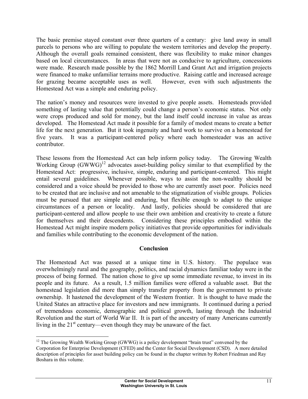The basic premise stayed constant over three quarters of a century: give land away in small parcels to persons who are willing to populate the western territories and develop the property. Although the overall goals remained consistent, there was flexibility to make minor changes based on local circumstances. In areas that were not as conducive to agriculture, concessions were made. Research made possible by the 1862 Morrill Land Grant Act and irrigation projects were financed to make unfamiliar terrains more productive. Raising cattle and increased acreage for grazing became acceptable uses as well. However, even with such adjustments the Homestead Act was a simple and enduring policy.

The nation's money and resources were invested to give people assets. Homesteads provided something of lasting value that potentially could change a person's economic status. Not only were crops produced and sold for money, but the land itself could increase in value as areas developed. The Homestead Act made it possible for a family of modest means to create a better life for the next generation. But it took ingenuity and hard work to survive on a homestead for five years. It was a participant-centered policy where each homesteader was an active contributor.

These lessons from the Homestead Act can help inform policy today. The Growing Wealth Working Group  $(GWW)$ <sup>12</sup> advocates asset-building policy similar to that exemplified by the Homestead Act: progressive, inclusive, simple, enduring and participant-centered. This might entail several guidelines. Whenever possible, ways to assist the non-wealthy should be considered and a voice should be provided to those who are currently asset poor. Policies need to be created that are inclusive and not amenable to the stigmatization of visible groups. Policies must be pursued that are simple and enduring, but flexible enough to adapt to the unique circumstances of a person or locality. And lastly, policies should be considered that are participant-centered and allow people to use their own ambition and creativity to create a future for themselves and their descendents. Considering these principles embodied within the Homestead Act might inspire modern policy initiatives that provide opportunities for individuals and families while contributing to the economic development of the nation.

### **Conclusion**

The Homestead Act was passed at a unique time in U.S. history. The populace was overwhelmingly rural and the geography, politics, and racial dynamics familiar today were in the process of being formed. The nation chose to give up some immediate revenue, to invest in its people and its future. As a result, 1.5 million families were offered a valuable asset. But the homestead legislation did more than simply transfer property from the government to private ownership. It hastened the development of the Western frontier. It is thought to have made the United States an attractive place for investors and new immigrants. It continued during a period of tremendous economic, demographic and political growth, lasting through the Industrial Revolution and the start of World War II. It is part of the ancestry of many Americans currently living in the  $21<sup>st</sup>$  century—even though they may be unaware of the fact.

<sup>1</sup>  $12$  The Growing Wealth Working Group (GWWG) is a policy development "brain trust" convened by the Corporation for Enterprise Development (CFED) and the Center for Social Development (CSD). A more detailed description of principles for asset building policy can be found in the chapter written by Robert Friedman and Ray Boshara in this volume.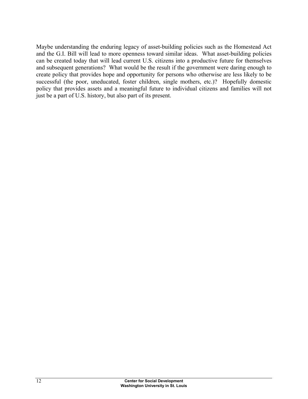Maybe understanding the enduring legacy of asset-building policies such as the Homestead Act and the G.I. Bill will lead to more openness toward similar ideas. What asset-building policies can be created today that will lead current U.S. citizens into a productive future for themselves and subsequent generations? What would be the result if the government were daring enough to create policy that provides hope and opportunity for persons who otherwise are less likely to be successful (the poor, uneducated, foster children, single mothers, etc.)? Hopefully domestic policy that provides assets and a meaningful future to individual citizens and families will not just be a part of U.S. history, but also part of its present.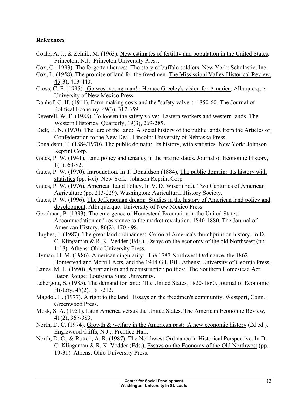## **References**

- Coale, A. J., & Zelnik, M. (1963). New estimates of fertility and population in the United States. Princeton, N.J.: Princeton University Press.
- Cox, C. (1993). The forgotten heroes: The story of buffalo soldiers. New York: Scholastic, Inc.
- Cox, L. (1958). The promise of land for the freedmen. The Mississippi Valley Historical Review, 45(3), 413-440.
- Cross, C. F. (1995). Go west,young man! : Horace Greeley's vision for America. Albuquerque: University of New Mexico Press.
- Danhof, C. H. (1941). Farm-making costs and the "safety valve": 1850-60. The Journal of Political Economy, 49(3), 317-359.
- Deverell, W. F. (1988). To loosen the safety valve: Eastern workers and western lands. The Western Historical Quarterly, 19(3), 269-285.
- Dick, E. N. (1970). The lure of the land: A social history of the public lands from the Articles of Confederation to the New Deal. Lincoln: University of Nebraska Press.
- Donaldson, T. (1884/1970). The public domain: Its history, with statistics. New York: Johnson Reprint Corp.
- Gates, P. W. (1941). Land policy and tenancy in the prairie states. Journal of Economic History, 1(1), 60-82.
- Gates, P. W. (1970). Introduction. In T. Donaldson (1884), The public domain: Its history with statistics (pp. i-xi). New York: Johnson Reprint Corp.
- Gates, P. W. (1976). American Land Policy. In V. D. Wiser (Ed.), Two Centuries of American Agriculture (pp. 213-229). Washington: Agricultural History Society.
- Gates, P. W. (1996). The Jeffersonian dream: Studies in the history of American land policy and development. Albuquerque: University of New Mexico Press.
- Goodman, P. (1993). The emergence of Homestead Exemption in the United States: Accommodation and resistance to the market revolution, 1840-1880. The Journal of American History, 80(2), 470-498.
- Hughes, J. (1987). The great land ordinances: Colonial America's thumbprint on history. In D. C. Klingaman & R. K. Vedder (Eds.), Essays on the economy of the old Northwest (pp. 1-18). Athens: Ohio University Press.
- Hyman, H. M. (1986). American singularity: The 1787 Northwest Ordinance, the 1862 Homestead and Morrill Acts, and the 1944 G.I. Bill. Athens: University of Georgia Press.
- Lanza, M. L. (1990). Agrarianism and reconstruction politics: The Southern Homestead Act. Baton Rouge: Louisiana State University.
- Lebergott, S. (1985). The demand for land: The United States, 1820-1860. Journal of Economic History,  $45(2)$ , 181-212.
- Magdol, E. (1977). A right to the land: Essays on the freedmen's community. Westport, Conn.: Greenwood Press.
- Mosk, S. A. (1951). Latin America versus the United States. The American Economic Review, 41(2), 367-383.
- North, D. C. (1974). Growth & welfare in the American past: A new economic history (2d ed.). Englewood Cliffs, N.J.,: Prentice-Hall.
- North, D. C., & Rutten, A. R. (1987). The Northwest Ordinance in Historical Perspective. In D. C. Klingaman & R. K. Vedder (Eds.), Essays on the Economy of the Old Northwest (pp. 19-31). Athens: Ohio University Press.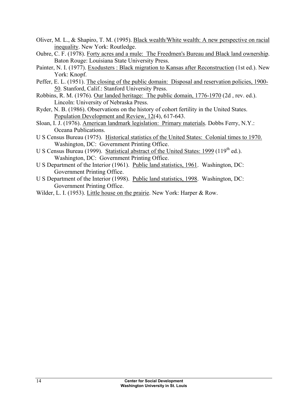- Oliver, M. L., & Shapiro, T. M. (1995). Black wealth/White wealth: A new perspective on racial inequality. New York: Routledge.
- Oubre, C. F. (1978). Forty acres and a mule: The Freedmen's Bureau and Black land ownership. Baton Rouge: Louisiana State University Press.
- Painter, N. I. (1977). Exodusters : Black migration to Kansas after Reconstruction (1st ed.). New York: Knopf.
- Peffer, E. L. (1951). The closing of the public domain: Disposal and reservation policies, 1900-50. Stanford, Calif.: Stanford University Press.
- Robbins, R. M. (1976). Our landed heritage: The public domain, 1776-1970 (2d , rev. ed.). Lincoln: University of Nebraska Press.
- Ryder, N. B. (1986). Observations on the history of cohort fertility in the United States. Population Development and Review, 12(4), 617-643.
- Sloan, I. J. (1976). American landmark legislation: Primary materials. Dobbs Ferry, N.Y.: Oceana Publications.
- U S Census Bureau (1975). Historical statistics of the United States: Colonial times to 1970. Washington, DC: Government Printing Office.
- U S Census Bureau (1999). Statistical abstract of the United States: 1999 (119<sup>th</sup> ed.). Washington, DC: Government Printing Office.
- U S Department of the Interior (1961). Public land statistics, 1961. Washington, DC: Government Printing Office.
- U S Department of the Interior (1998). Public land statistics, 1998. Washington, DC: Government Printing Office.
- Wilder, L. I. (1953). Little house on the prairie. New York: Harper & Row.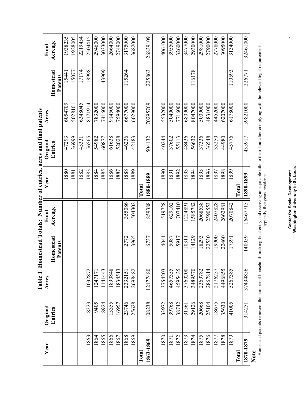| Year      | Original | Table 1<br>Acres |                  | Final    | Homestead Totals: Number of entries, acres and final patents<br>Year | Original | Acres    |           | Final    |
|-----------|----------|------------------|------------------|----------|----------------------------------------------------------------------|----------|----------|-----------|----------|
|           | Entries  |                  | <b>Tomestead</b> | Acreage  |                                                                      | Entries  |          | Homestead | Acreage  |
|           |          |                  | Patents          |          |                                                                      |          |          | Patents   |          |
|           |          |                  |                  |          | 1880                                                                 | 47293    | 6054709  | 15441     | 1938235  |
|           |          |                  |                  |          | 881                                                                  | 36999    | 5028101  | .5077     | 1928005  |
|           |          |                  |                  |          | 1882                                                                 | 45331    | 6348045  | 17174     | 2219454  |
| 1863      | 8223     | 1032872          |                  |          | 883                                                                  | 56565    | 8171914  | 18998     | 2504415  |
| 1864      | 9405     | 1247171          |                  |          | 1884                                                                 | 54982    | 7832000  |           | 2946000  |
| 1865      | 8924     | 1141443          |                  |          | 1885                                                                 | 60877    | 7416000  | 43909     | 3033000  |
| 1866      | 15355    | 1890848          |                  |          | 886                                                                  | 61638    | 9145000  |           | 2664000  |
| 1867      | 16957    | 1834513          |                  |          | 1887                                                                 | 52028    | 7594000  |           | 2749000  |
| 1868      | 23746    | 2332151          | 2772             | 355086   | 888                                                                  | 46236    | 6677000  | 115264    | 3175000  |
| 1869      | 25628    | 2698482          | 3965             | 504302   | 1889                                                                 | 42183    | 6029000  |           | 3682000  |
| Total     |          |                  |                  |          | $\Gamma$ otal                                                        |          |          |           |          |
| 1863-1869 | 108238   | 12177480         | 6737             | 859388   | 1880-1889                                                            | 504132   | 70295769 | 225863    | 26839109 |
|           |          |                  |                  |          |                                                                      |          |          |           |          |
| 1870      | 33972    | 3754203          | 4041             | 519728   | 1890                                                                 | 40244    | 5532000  |           | 4061000  |
| 1871      | 39768    | 4657355          | 5087             | 629162   | 1891                                                                 | 37602    | 5040000  |           | 3955000  |
| 1872      | 38742    | 4595435          | 5917             | 707410   | 1892                                                                 | 55113    | 7716000  |           | 3260000  |
| 1873      | 31561    | 3760200          | 10311            | 1224891  | 893                                                                  | 48436    | 6809000  |           | 3477000  |
| 1874      | 29126    | 3489570          | 14129            | 1585782  | 894                                                                  | 56632    | 8047000  | 116178    | 2930000  |
| 1875      | 20668    | 2369782          | 18293            | 2068538  | 1895                                                                 | 37336    | 5009000  |           | 2981000  |
| 1876      | 25104    | 2867814          | 22530            | 2590553  | 896                                                                  | 36548    | 4831000  |           | 2790000  |
| 1877      | 18675    | 2176257          | 19900            | 2407828  | 1897                                                                 | 33250    | 4452000  |           | 2778000  |
| 1878      | 35630    | 4496855          | 22460            | 2662981  | 868                                                                  | 44980    | 6207000  |           | 3095000  |
| 1879      | 41005    | 5267385          | 17391            | 2070842  | 1899                                                                 | 45776    | 6178000  | 110593    | 3134000  |
| Total     |          |                  |                  |          | $\Gamma$ otal                                                        |          |          |           |          |
| 1870-1879 | 314251   | 37434856         | 140059           | 16467715 | 1890-1899                                                            | 435917   | 59821000 | 226771    | 32461000 |
| Note      |          |                  |                  |          |                                                                      |          |          |           |          |

**Center for Social Development**<br>Washington University in St. Louis **Washington University in St. Louis Center for Social Development** 

Homestead patents represent the number of households making final entry and receiving an equitable title to their land after complying with the relevant legal requirements, typically five years residence.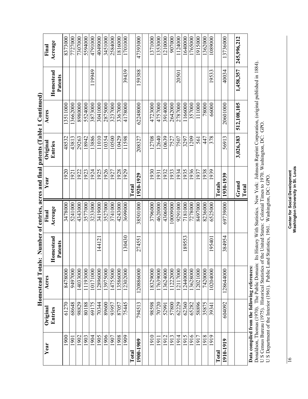|                |                                              | Homestead Totals: |                      |          | Number of entries, acres and final patents (Table 1 Continued) |           |             |                      |             |
|----------------|----------------------------------------------|-------------------|----------------------|----------|----------------------------------------------------------------|-----------|-------------|----------------------|-------------|
| Year           | Original                                     | Acres             |                      | Final    | Year                                                           | Original  | Acres       |                      | Final       |
|                | Entries                                      |                   | Homestead<br>Patents | Acreage  |                                                                | Entries   |             | Homestead<br>Patents | Acreage     |
| 1900           | 61270                                        | 8478000           |                      | 3478000  | 1920                                                           | 48532     | 13511000    |                      | 8373000     |
| 1901           | 68648                                        | 9497000           |                      | 5241000  | 1921                                                           | 43813     | 3662000     |                      | 7727000     |
| 1902           | 98829                                        | 4033000           |                      | 4343000  | 1922                                                           | 29263     | 8980000     |                      | 7307000     |
| 1903           | 80188                                        | 1193000           |                      | 3577000  | 1923                                                           | 18942     | 5524000     |                      | 5594000     |
| 1904           | 69175                                        | 10171000          |                      | 3233000  | 1924                                                           | 13886     | 3873000     | 119949               | 4791000     |
| 1905           | 70344                                        | 2896000           | 14412                | 3419000  | 1925                                                           | 1010      | 3041000     |                      | 4049000     |
| 1906           | 89600                                        | 13975000          |                      | 3527000  | 1926                                                           | 10354     | 2875000     |                      | 3451000     |
| 1907           | 93957                                        | 14755000          |                      | 3741000  | 1927                                                           | 10500     | 3237000     |                      | 2584000     |
| 1908           | 87057                                        | 3586000           |                      | 4243000  | 1928                                                           | 10429     | 3367000     |                      | 1816000     |
| 1909           | 75445                                        | 12302000          | 130430               | 3699000  | 1929                                                           | 11598     | 4178000     | 39439                | 1701000     |
| $\Gamma$ otal  |                                              |                   |                      |          | Total                                                          |           |             |                      |             |
| 1900-1909      | 794513                                       | 120886000         | 274551               | 38501000 | 1920-1929                                                      | 208327    | 62248000    | 159388               | 47393000    |
|                |                                              |                   |                      |          |                                                                |           |             |                      |             |
| 1910           | 98598                                        | 18329000          |                      | 3796000  | 1930                                                           | 12708     | 4723000     |                      | 1371000     |
| $\frac{1}{91}$ | 70720                                        | 17639000          |                      | 4620000  | 1931                                                           | 12640     | 4757000     |                      | 1353000     |
| 1912           | 52991                                        | 3624000           |                      | 4306000  | 1932                                                           | 10639     | 3914000     |                      | 1210000     |
| 1913           | 57800                                        | 1222000           |                      | 0009000  | 1933                                                           | 7527      | 2642000     |                      | 907000      |
| 1914           | 62229                                        | 2117000           |                      | 9291000  | 1934                                                           | 7507      | 2787000     | 20501                | 1124000     |
| 1915           | 62360                                        | 12440000          | 189553               | 7181000  | 1935                                                           | 3297      | 1166000     |                      | 1640000     |
| 1916           | 65282                                        | 13628000          |                      | 7278000  | 1936                                                           | 1209      | 357000      |                      | 1765000     |
| 1917           | 58896                                        | 12021000          |                      | 8497000  | 1937                                                           | 561       | 111000      |                      | 1915000     |
| 1918           | 35875                                        | 7420000           |                      | 8236000  | 1938                                                           | 447       | 78000       |                      | 1362000     |
| 1919           | 3934                                         | 10204000          | 19540                | 6525000  | 939                                                            | 378       | 66000       | 19533                | 1089000     |
| $\Gamma$ otal  |                                              |                   |                      |          | <b>Totals</b>                                                  |           |             |                      |             |
| 1910-1919      | 604092                                       | 128644000         | 384954               | 69739000 | 1930-1939                                                      | 56913     | 20601000    | 40034                | 13736000    |
|                |                                              |                   |                      |          |                                                                |           |             |                      |             |
|                |                                              |                   |                      |          | $Grand$                                                        | 3,026,383 | 512,108,105 | 1,458,357            | 245,996,212 |
|                |                                              |                   |                      |          | Total                                                          |           |             |                      |             |
|                | Data compiled from the following references: |                   |                      |          |                                                                |           |             |                      |             |

**Data compiled from the following references:** 

Late Compresse The Community of Community Communications (New York Martistics, New York: Johnson Reprint Corporation, (original published in 1884).<br>Donaldson, Thomas (1970). The Public Domain: Its History With Statistics. Donaldson, Thomas (1970). The Public Domain: Its History With Statistics. New York: Johnson Reprint Corporation, (original published in 1884). U S Census Bureau (1975). Historical Statistics of the United States: Colonial Times to 1970. Washington, DC: GPO.

U S Department of the Interior (1961). Public Land Statistics, 1961. Washington, DC: GPO.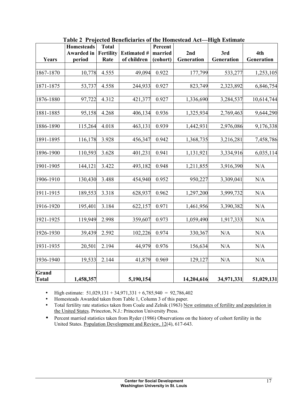|                       | <b>Homesteads</b> | <b>Total</b>     |                    | Percent  |            |            |            |
|-----------------------|-------------------|------------------|--------------------|----------|------------|------------|------------|
|                       | Awarded in        | <b>Fertility</b> | <b>Estimated #</b> | married  | 2nd        | 3rd        | 4th        |
| Years                 | period            | Rate             | of children        | (cohort) | Generation | Generation | Generation |
|                       |                   |                  |                    |          |            |            |            |
| 1867-1870             | 10,778            | 4.555            | 49,094             | 0.922    | 177,799    | 533,277    | 1,253,105  |
| 1871-1875             |                   | 4.558            | 244,933            | 0.927    | 823,749    |            |            |
|                       | 53,737            |                  |                    |          |            | 2,323,892  | 6,846,754  |
| 1876-1880             | 97,722            | 4.312            | 421,377            | 0.927    | 1,336,690  | 3,284,537  | 10,614,744 |
|                       |                   |                  |                    |          |            |            |            |
| 1881-1885             | 95,158            | 4.268            | 406,134            | 0.936    | 1,325,934  | 2,769,463  | 9,644,290  |
| 1886-1890             | 115,264           | 4.018            | 463,131            | 0.939    | 1,442,931  | 2,976,086  | 9,176,338  |
|                       |                   |                  |                    |          |            |            |            |
| 1891-1895             | 116,178           | 3.928            | 456,347            | 0.942    | 1,368,735  | 3,216,281  | 7,458,786  |
| 1896-1900             | 110,593           | 3.628            | 401,231            | 0.941    | 1,131,921  | 3,334,916  | 6,035,114  |
| 1901-1905             | 144,121           | 3.422            | 493,182            | 0.948    | 1,211,855  | 3,916,390  | N/A        |
| 1906-1910             | 130,430           | 3.488            | 454,940            | 0.952    | 950,227    | 3,309,041  | N/A        |
| 1911-1915             | 189,553           | 3.318            | 628,937            | 0.962    | 1,297,200  | 3,999,732  | N/A        |
| 1916-1920             | 195,401           | 3.184            | 622,157            | 0.971    | 1,461,956  | 3,390,382  | N/A        |
| 1921-1925             | 119,949           | 2.998            | 359,607            | 0.973    | 1,059,490  | 1,917,333  | N/A        |
| 1926-1930             | 39,439            | 2.592            | 102,226            | 0.974    | 330,367    | N/A        | N/A        |
| 1931-1935             | 20,501            | 2.194            | 44,979             | 0.976    | 156,634    | N/A        | N/A        |
| 1936-1940             | 19,533            | 2.144            | 41,879             | 0.969    | 129,127    | N/A        | N/A        |
| Grand<br><b>Total</b> | 1,458,357         |                  | 5,190,154          |          | 14,204,616 | 34,971,331 | 51,029,131 |

**Table 2 Projected Beneficiaries of the Homestead Act—High Estimate** 

• High estimate:  $51,029,131 + 34,971,331 + 6,785,940 = 92,786,402$ 

- Homesteads Awarded taken from Table 1, Column 3 of this paper.
- Total fertility rate statistics taken from Coale and Zelnik (1963) New estimates of fertility and population in the United States. Princeton, N.J.: Princeton University Press.
- Percent married statistics taken from Ryder (1986) Observations on the history of cohort fertility in the United States. Population Development and Review, 12(4), 617-643.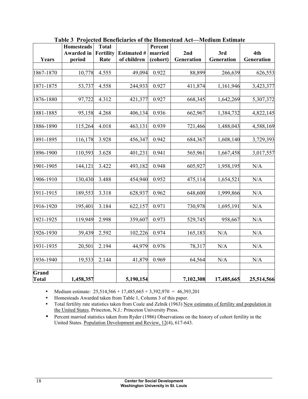|                       | <b>Homesteads</b> | <b>Total</b>     |                    | Percent  |            |            |            |
|-----------------------|-------------------|------------------|--------------------|----------|------------|------------|------------|
|                       | <b>Awarded</b> in | <b>Fertility</b> | <b>Estimated #</b> | married  | 2nd        | 3rd        | 4th        |
| Years                 | period            | Rate             | of children        | (cohort) | Generation | Generation | Generation |
|                       |                   |                  |                    |          |            |            |            |
| 1867-1870             | 10,778            | 4.555            | 49,094             | 0.922    | 88,899     | 266,639    | 626,553    |
|                       |                   |                  |                    |          |            |            |            |
| 1871-1875             | 53,737            | 4.558            | 244,933            | 0.927    | 411,874    | 1,161,946  | 3,423,377  |
|                       |                   |                  |                    |          |            |            |            |
| 1876-1880             | 97,722            | 4.312            | 421,377            | 0.927    | 668,345    | 1,642,269  | 5,307,372  |
|                       |                   |                  |                    |          |            |            |            |
| 1881-1885             | 95,158            | 4.268            | 406,134            | 0.936    | 662,967    | 1,384,732  | 4,822,145  |
|                       |                   |                  |                    |          |            |            |            |
| 1886-1890             | 115,264           | 4.018            | 463,131            | 0.939    | 721,466    | 1,488,043  | 4,588,169  |
| 1891-1895             |                   | 3.928            | 456,347            | 0.942    | 684,367    | 1,608,140  |            |
|                       | 116,178           |                  |                    |          |            |            | 3,729,393  |
| 1896-1900             | 110,593           | 3.628            | 401,231            | 0.941    | 565,961    | 1,667,458  | 3,017,557  |
|                       |                   |                  |                    |          |            |            |            |
| 1901-1905             | 144,121           | 3.422            | 493,182            | 0.948    | 605,927    | 1,958,195  | N/A        |
|                       |                   |                  |                    |          |            |            |            |
| 1906-1910             | 130,430           | 3.488            | 454,940            | 0.952    | 475,114    | 1,654,521  | N/A        |
|                       |                   |                  |                    |          |            |            |            |
| 1911-1915             | 189,553           | 3.318            | 628,937            | 0.962    | 648,600    | 1,999,866  | N/A        |
|                       |                   |                  |                    |          |            |            |            |
| 1916-1920             | 195,401           | 3.184            | 622,157            | 0.971    | 730,978    | 1,695,191  | N/A        |
|                       |                   |                  |                    |          |            |            |            |
| 1921-1925             | 119,949           | 2.998            | 359,607            | 0.973    | 529,745    | 958,667    | N/A        |
| 1926-1930             | 39,439            | 2.592            | 102,226            | 0.974    | 165,183    | N/A        | N/A        |
|                       |                   |                  |                    |          |            |            |            |
| 1931-1935             | 20,501            | 2.194            | 44,979             | 0.976    | 78,317     | N/A        | N/A        |
|                       |                   |                  |                    |          |            |            |            |
| 1936-1940             | 19,533            | 2.144            | 41,879             | 0.969    | 64,564     | N/A        | N/A        |
|                       |                   |                  |                    |          |            |            |            |
| Grand<br><b>Total</b> | 1,458,357         |                  | 5,190,154          |          | 7,102,308  | 17,485,665 | 25,514,566 |

**Table 3 Projected Beneficiaries of the Homestead Act—Medium Estimate** 

• Medium estimate:  $25,514,566 + 17,485,665 + 3,392,970 = 46,393,201$ 

• Homesteads Awarded taken from Table 1, Column 3 of this paper.

- Total fertility rate statistics taken from Coale and Zelnik (1963) New estimates of fertility and population in the United States. Princeton, N.J.: Princeton University Press.
- Percent married statistics taken from Ryder (1986) Observations on the history of cohort fertility in the United States. Population Development and Review, 12(4), 617-643.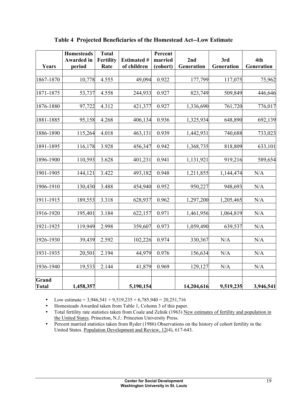|                              | <b>Homesteads</b><br><b>Awarded</b> in | <b>Total</b><br>Fertility | <b>Estimated #</b> | Percent<br>married | 2nd        | 3rd        | 4th        |
|------------------------------|----------------------------------------|---------------------------|--------------------|--------------------|------------|------------|------------|
| Years                        | period                                 | Rate                      | of children        | (cohort)           | Generation | Generation | Generation |
|                              |                                        |                           |                    |                    |            |            |            |
| 1867-1870                    | 10,778                                 | 4.555                     | 49,094             | 0.922              | 177,799    | 117,075    | 75,962     |
| 1871-1875                    | 53,737                                 | 4.558                     | 244,933            | 0.927              | 823,749    | 509,849    | 446,646    |
| 1876-1880                    | 97,722                                 | 4.312                     | 421,377            | 0.927              | 1,336,690  | 761,720    | 776,017    |
| 1881-1885                    | 95,158                                 | 4.268                     | 406,134            | 0.936              | 1,325,934  | 648,890    | 692,139    |
| 1886-1890                    | 115,264                                | 4.018                     | 463,131            | 0.939              | 1,442,931  | 740,688    | 733,023    |
| 1891-1895                    | 116,178                                | 3.928                     | 456,347            | 0.942              | 1,368,735  | 818,809    | 633,101    |
| 1896-1900                    | 110,593                                | 3.628                     | 401,231            | 0.941              | 1,131,921  | 919,216    | 589,654    |
| 1901-1905                    | 144,121                                | 3.422                     | 493,182            | 0.948              | 1,211,855  | 1,144,474  | N/A        |
| 1906-1910                    | 130,430                                | 3.488                     | 454,940            | 0.952              | 950,227    | 948,693    | N/A        |
| 1911-1915                    | 189,553                                | 3.318                     | 628,937            | 0.962              | 1,297,200  | 1,205,465  | N/A        |
| 1916-1920                    | 195,401                                | 3.184                     | 622,157            | 0.971              | 1,461,956  | 1,064,819  | N/A        |
| 1921-1925                    | 119,949                                | 2.998                     | 359,607            | 0.973              | 1,059,490  | 639,537    | N/A        |
| 1926-1930                    | 39,439                                 | 2.592                     | 102,226            | 0.974              | 330,367    | N/A        | N/A        |
| 1931-1935                    | 20,501                                 | 2.194                     | 44,979             | 0.976              | 156,634    | N/A        | N/A        |
| 1936-1940                    | 19,533                                 | 2.144                     | 41,879             | 0.969              | 129,127    | N/A        | N/A        |
| <b>Grand</b><br><b>Total</b> | 1,458,357                              |                           | 5,190,154          |                    | 14,204,616 | 9,519,235  | 3,946,541  |

**Table 4 Projected Beneficiaries of the Homestead Act--Low Estimate** 

• Low estimate =  $3,946,541 + 9,519,235 + 6,785,940 = 20,251,716$ 

• Homesteads Awarded taken from Table 1, Column 3 of this paper.

- Total fertility rate statistics taken from Coale and Zelnik (1963) New estimates of fertility and population in the United States. Princeton, N.J.: Princeton University Press.
- Percent married statistics taken from Ryder (1986) Observations on the history of cohort fertility in the United States. Population Development and Review, 12(4), 617-643.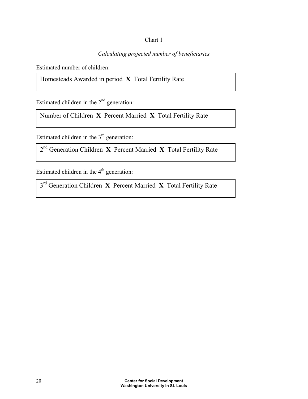## Chart 1

## *Calculating projected number of beneficiaries*

Estimated number of children:

Homesteads Awarded in period **X** Total Fertility Rate

Estimated children in the  $2<sup>nd</sup>$  generation:

Number of Children **X** Percent Married **X** Total Fertility Rate

Estimated children in the 3<sup>rd</sup> generation:

2nd Generation Children **X** Percent Married **X** Total Fertility Rate

Estimated children in the  $4<sup>th</sup>$  generation:

3rd Generation Children **X** Percent Married **X** Total Fertility Rate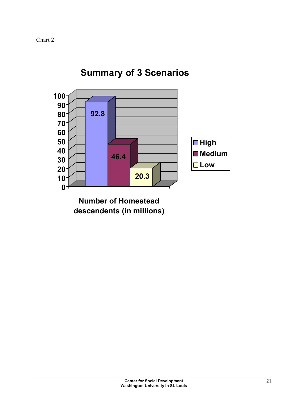

**Summary of 3 Scenarios**

**descendents (in millions)**